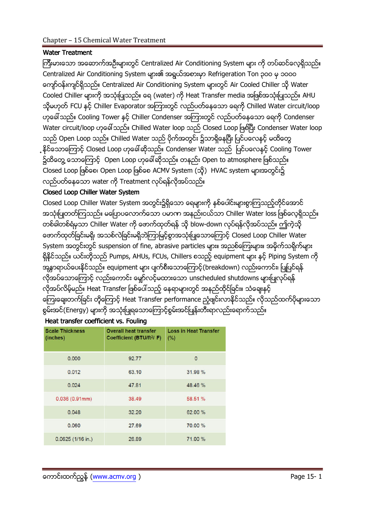### **Water Treatment**

ကြီးမားသော အဆောက်အဦးများတွင် Centralized Air Conditioning System များ ကို တပ်ဆင်လေ့ရှိသည်။ Centralized Air Conditioning System များ၏ အရွယ်အစားမှာ Refrigeration Ton ၃၀၀ မှ ၁၀၀၀ ကျော်ဝန်းကျင်ရှိသည်။ Centralized Air Conditioning System များတွင် Air Cooled Chiller သို့ Water Cooled Chiller များကို အသုံးပြုသည်။ ရေ (water) ကို Heat Transfer media အဖြစ်အသုံးပြုသည်။ AHU သို့မဟုတ် FCU နှင့် Chiller Evaporator အကြားတွင် လည်ပတ်နေသော ရေကို Chilled Water circuit/loop ဟုခေါ် သည်။ Cooling Tower နှင့် Chiller Condenser အကြားတွင် လည်ပတ်နေသော ရေကို Condenser Water circuit/loop ဟုခေါ်သည်။ Chilled Water loop သည် Closed Loop ဖြစ်ပြီး Condenser Water loop သည် Open Loop သည်။ Chilled Water သည် ပိုက်အတွင်း ၌သာရှိနေပြီး ပြင်ပလေနှင့် မထိတွေ ့နိုင်သောကြောင့် Closed Loop ဟုခေါ်ဆိုသည်။ Condenser Water သည် ပြင်ပလေနှင့် Cooling Tower ၌ထိတွေ့ သောကြောင့် Open Loop ဟုခေါ်ဆိုသည်။ တနည်း Open to atmosphere ဖြစ်သည်။ Closed Loop ဖြစ်စေ၊ Open Loop ဖြစ်စေ ACMV System (သို) HVAC system များအတွင်း၌ လည်ပတ်နေသော water ကို Treatment လုပ်ရန်လိုအပ်သည်။

### **Closed Loop Chiller Water System**

Closed Loop Chiller Water System အတွင်း၌ရှိသော ရေများကို နစ်ပေါင်းများစွာကြသည့်တိုင်အောင် အသုံးပြုတတ်ကြသည်။ မပြောပလောက်သော ပမာဏ အနည်းငယ်သာ Chiller Water loss ဖြစ်လေ့ရှိသည်။ တစ်ခါတစ်ရံမှသာ Chiller Water ကို ဖောက်ထုတ်ရန် သို့ blow-down လုပ်ရန်လိုအပ်သည်။ ဤကဲ့သို့ ဖောက်ထုတ်ခြင်းမရှိ၊ အသစ်လဲခြင်းမရှိဘဲကြာမြင့်စွာအသုံးပြုသောကြောင့် Closed Loop Chiller Water System အတွင်းတွင် suspension of fine, abrasive particles များ။ အညစ်ကြေးများ။ အမိုက်သရိုက်များ ရှိနိုင်သည်။ ယင်းတိုသည် Pumps, AHUs, FCUs, Chillers စသည့် equipment များ နင့် Piping System ကို အန္တာရာယ်ပေးနိုင်သည်။ equipment များ ပျက်စီးသောကြောင့်(breakdown) လည်းကောင်း၊ ပြုပြင်ရန် လိုအပ်သောကြောင့် လည်းကောင်း မျှော်လင့်မထားသော unscheduled shutdowns များပြုလုပ်ရန် လိုအပ်လိမ့်မည်။ Heat Transfer ဖြစ်ပေါ်သည့် နေရာများတွင် အနည်ထိုင်ခြင်း။ သံချေးနှင့် ကြေးချေးတက်ခြင်း တို့ကြောင့် Heat Transfer performance ညံ့ဖျင်းလာနိုင်သည်။ လိုသည်ထက်ပိုများသော စွမ်းအင်(Energy) များကို အသုံးပြုရသောကြောင့်စွမ်းအင်ပြုန်းတီးရာလည်းရောက်သည်။

| <b>Scale Thickness</b><br>(inches) | <b>Overall heat transfer</b><br>Coefficient (BTU/ft <sup>2</sup> / F) | <b>Loss in Heat Transfer</b><br>(%) |  |  |  |  |
|------------------------------------|-----------------------------------------------------------------------|-------------------------------------|--|--|--|--|
| 0.000                              | 92.77                                                                 | 0                                   |  |  |  |  |
| 0.012                              | 63.10                                                                 | 31.98%                              |  |  |  |  |
| 0.024                              | 47.81                                                                 | 48.46%                              |  |  |  |  |
| 0.036(0.91mm)                      | 38.49                                                                 | 58.51 %                             |  |  |  |  |
| 0.048                              | 32.20                                                                 | 62.00%                              |  |  |  |  |
| 0.060                              | 27.69                                                                 | 70.00%                              |  |  |  |  |
| 0.0625(1/16 in.)                   | 26.89                                                                 | 71.00 %                             |  |  |  |  |

### Heat transfer coefficient vs. Fouling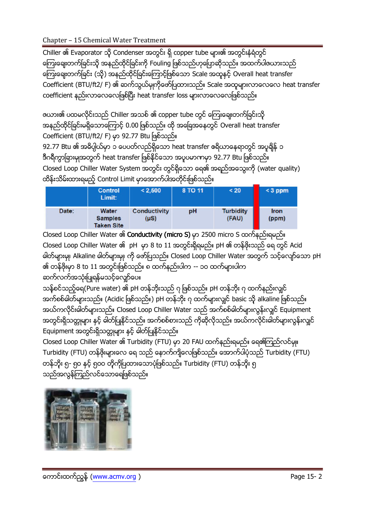Chapter - 15 Chemical Water Treatment

Chiller ၏ Evaporator သို Condenser အတွင်း ရှိ copper tube များ၏ အတွင်းနံရံတွင် ကြေးချေးတက်ခြင်းသို့ အနည်ထိုင်ခြင်းကို Fouling ဖြစ်သည်ဟုပြောဆိုသည်။ အထက်ပါဇယားသည် ကြေးချေးတက်ခြင်း (သို့) အနည်ထိုင်ခြင်းကြောင့်ဖြစ်သော Scale အထူနှင့် Overall heat transfer Coefficient (BTU/ft2/ F) ၏ ဆက်သွယ်မှုကိုဖော်ပြထားသည်။ Scale အထူများလာလေလေ heat transfer coefficient နည်းလာလေလေဖြစ်ပြီး heat transfer loss များလာလေလေဖြစ်သည်။

ဇယား၏ ပထမလိုင်းသည် Chiller အသစ် ၏ copper tube တွင် ကြေးချေးတက်ခြင်းသို့ အနည်ထိုင်ခြင်းမရှိသောကြောင့် 0.00 ဖြစ်သည်။ ထို အခြေအနေတွင် Overall heat transfer Coefficient (BTU/ft2/ F) မှာ 92.77 Btu ဖြစ်သည်။

92.77 Btu ၏ အဓိပ္ပါယ်မှာ ၁ ပေပတ်လည်ရှိသော heat transfer ဇရိယာနေရာတွင် အပူချိန် ၁ ဒီဂရီကွာခြားမှုအတွက် heat transfer ဖြစ်နိုင်သော အပူပမာဏမှာ 92.77 Btu ဖြစ်သည်။ Closed Loop Chiller Water System အတွင်း တွင်ရှိသော ရေ၏ အရည်အသွေးကို (water quality) ထိန်းသိမ်းထားရမည့် Control Limit မှာအောက်ပါအတိုင်းဖြစ်သည်။

|       | <b>Control</b><br>Limit:                     | < 2,500                          | 8 TO 11 | < 20                      | $<$ 3 ppm            |
|-------|----------------------------------------------|----------------------------------|---------|---------------------------|----------------------|
| Date: | Water<br><b>Samples</b><br><b>Taken Site</b> | <b>Conductivity</b><br>$(\mu S)$ | pH      | <b>Turbidity</b><br>(FAU) | <b>Iron</b><br>(ppm) |

Closed Loop Chiller Water ၏ Conductivity (micro S) မှာ 2500 micro S ထက်နည်းရမည်။ Closed Loop Chiller Water ၏ pH မှာ 8 to 11 အတွင်းရှိရမည်။ pH ၏ တန်ဖိုးသည် ရေ တွင် Acid ဓါတ်များမှု၊ Alkaline ဓါတ်များမှု၊ ကို ဖော်ပြသည်။ Closed Loop Chiller Water အတွက် သင့်လျော်သော pH ၏ တန်ဖိုးမှာ 8 to 11 အတွင်းဖြစ်သည်။ ၈ ထက်နည်းပါက -- ၁၀ ထက်များပါက

# ဆက်လက်အသုံးပြုရန်မသင့်လျော်ပေ။

သန့်စင်သည့်ရေ(Pure water) ၏ pH တန်ဘိုးသည် ၇ ဖြစ်သည်။ pH တန်ဘိုး ၇ ထက်နည်းလျင် အက်စစ်ဓါတ်များသည်။ (Acidic ဖြစ်သည်။) pH တန်ဘိုး ၇ ထက်များလျှင် basic သို့ alkaline ဖြစ်သည်။ အယ်ကလိုင်းဓါတ်များသည်။ Closed Loop Chiller Water သည် အက်စစ်ဓါတ်များလွန်းလျှင် Equipment အတွင်းရှိသတ္တုများ နှင့် ဓါတ်ပြုနိုင်သည်။ အက်စစ်စားသည် ကိုဆိုလိုသည်။ အယ်ကလိုင်းဓါတ်များလွန်းလျှင် Equipment အတွင်းရှိသတ္တုများ နှင့် ဓါတ်ပြုနိုင်သည်။

Closed Loop Chiller Water ၏ Turbidity (FTU) မှာ 20 FAU ထက်နည်းရမည်။ ရေ၏ကြည်လင်မှု။ Turbidity (FTU) တန်ဖိုးများလေ ရေ သည် နောက်ကျိလေဖြစ်သည်။ အောက်ပါပုံသည် Turbidity (FTU) တန်ဘိုး ၅- ၅ဝ နှင့် ၅ဝဝ တို့ကိုပြထားသောပုံဖြစ်သည်။ Turbidity (FTU) တန်ဘိုး ၅ သည်အလွန်ကြည်လင်သောရေဖြစ်သည်။

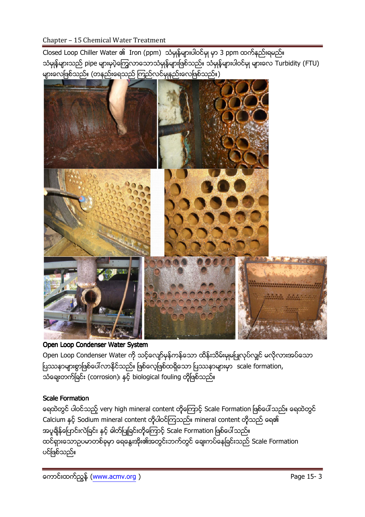Closed Loop Chiller Water ၏ Iron (ppm) သံမှုန့်များပါဝင်မှု မှာ 3 ppm ထက်နည်းရမည်။ သံမှုန့်များသည် pipe များမှပဲ့ကြွေလာသောသံမှုန့်များဖြစ်သည်။ သံမှုန့်များပါဝင်မှု များလေ Turbidity (FTU) များလေဖြစ်သည်။ (တနည်းရေသည် ကြည်လင်မှုနည်းလေဖြစ်သည်။)



Open Loop Condenser Water System

Open Loop Condenser Water ကို သင့်လျော်မှန်ကန်သော ထိန်းသိမ်းမှုမပြုလုပ်လျှင် မလိုလားအပ်သော ပြဿနာများစွာဖြစ်ပေါ်လာနိုင်သည်။ ဖြစ်လေ့ဖြစ်ထရှိသော ပြဿနာများမှာ scale formation, သံချေးတက်ခြင်း (corrosion)၊ နှင့် biological fouling တိုဖြစ်သည်။

# **Scale Formation**

ရေထဲတွင် ပါဝင်သည့် very high mineral content တို့ကြောင့် Scale Formation ဖြစ်ပေါ်သည်။ ရေထဲတွင် Calcium နှင့် Sodium mineral content တိုပါဝင်ကြသည်။ mineral content တိုသည် ရေ၏ အပူရှိန်ပြောင်းလဲခြင်း နှင့် ဓါတ်ပြုခြင်းတို့ကြောင့် Scale Formation ဖြစ်ပေါ်သည်။ ထင်ရှားသောဉပမာတစ်ခုမှာ ရေနွေးအိုး၏အတွင်းဘက်တွင် ချေးကပ်နေခြင်းသည် Scale Formation ပင်ဖြစ်သည်။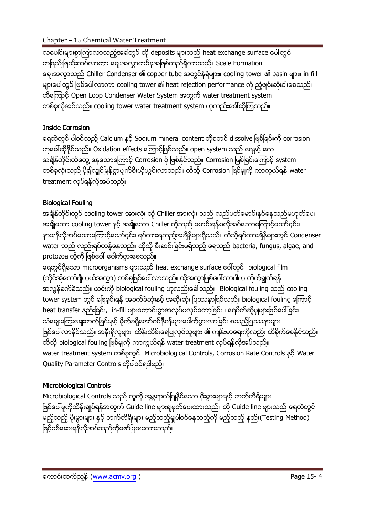လပေါင်းများစွာကြာလာသည့်အခါတွင် ထို deposits များသည် heat exchange surface ပေါ်တွင် တဖြည်းဖြည်းထပ်လာကာ ချေးအလွာတစ်ခုအဖြစ်တည်ရှိလာသည်။ Scale Formation ချေးအလွာသည် Chiller Condenser ၏ copper tube အတွင်နံရံများ။ cooling tower ၏ basin များ။ in fill များပေါ်တွင် ဖြစ်ပေါ်လာကာ cooling tower ၏ heat rejection performance ကို ညံ့ဖျင်းဆိုးဝါးစေသည်။ ထိုကြောင့် Open Loop Condenser Water System အတွက် water treatment system တစ်ခုလိုအပ်သည်။ cooling tower water treatment system ဟုလည်းခေါ်ဆိုကြသည်။

## **Inside Corrosion**

ရေထဲတွင် ပါဝင်သည့် Calcium နှင့် Sodium mineral content တို့စတင် dissolve ဖြစ်ခြင်းကို corrosion ဟုခေါ်ဆိုနိုင်သည်။ Oxidation effects ကြောင့်ဖြစ်သည်။ open system သည် ရေနှင့် လေ အရှိန်တိုင်းထိတွေ့ နေသောကြောင့် Corrosion ပို ဖြစ်နိုင်သည်။ Corrosion ဖြစ်ခြင်းကြောင့် system တစ်ခုလုံးသည် ပို၍လျင်မြန်စွာပျက်စီးယိုယွင်းလာသည်။ ထိုသို့ Corrosion ဖြစ်မှုကို ကာကွယ်ရန် water treatment လုပ်ရန်လိုအပ်သည်။

## **Biological Fouling**

အရှိန်တိုင်းတွင် cooling tower အားလုံး သို့ Chiller အားလုံး သည် လည်ပတ်မောင်းနင်နေသည်မဟုတ်ပေ။ အချိုသော cooling tower နှင့် အချိုသော Chiller တို့သည် မောင်းရန်မလိုအပ်သောကြောင့်သော်၎င်း၊ နားရန်လိုအပ်သောကြောင့်သော်၄င်း၊ ရပ်ထားရသည့်အချိန်များရှိသည်။ ထိုသို့ရပ်ထားချိန်များတွင် Condenser water သည် လည်းရပ်တန့်နေသည်။ ထိုသို့ စီးဆင်းခြင်းမရှိသည့် ရေသည် bacteria, fungus, algae, and protozoa တို့ကို ဖြစ်ပေါ် ပေါက်ပွားစေသည်။

ရေတွင်ရှိသော microorganisms များသည် heat exchange surface ပေါ်တွင် biological film (ဘိုင်အိုလော်ဂျီကယ်အလွှာ) တစ်ခုဖြစ်ပေါ်လာသည်။ ထိုအလွှာဖြစ်ပေါ်လာပါက တိုက်ရွတ်ရန် အလွန်ခက်ခဲသည်။ ယင်းကို biological fouling ဟုလည်းခေါ်သည်။ Biological fouling သည် cooling tower system တွင် ဖြေရှင်းရန် အခက်ခဲဆုံးနှင့် အဆိုးဆုံး ပြဿနာဖြစ်သည်။ biological fouling ကြောင့် heat transfer နည်းခြင်း, in-fill များကောင်းစွာအလုပ်မလုပ်တော့ခြင်း ၊ ရေပိတ်ဆိုမှုများဖြစ်ပေါ်ခြင်း၊ သံချေးကြေးချေးတက်ခြင်းနှင့် မိုက်ခရိုအော်ဂင်နီဇန်များပေါက်ပွားလာခြင်း စသည့်ပြဿနာများ ဖြစ်ပေါ်လာနိုင်သည်။ အနီးရှိလူများ၊ ထိန်းသိမ်းရေပြုလုပ်သူများ ၏ ကျန်းမာရေးကိုလည်း ထိခိုက်စေနိုင်သည်။ ထိုသို့ biological fouling ဖြစ်မှုကို ကာကွယ်ရန် water treatment လုပ်ရန်လိုအပ်သည်။ water treatment system တစ်ခုတွင် Microbiological Controls, Corrosion Rate Controls နှင့် Water Quality Parameter Controls တိုပါဝင်ရပါမည်။

# **Microbiological Controls**

Microbiological Controls သည် လူကို အန္တရာယ်ပြုနိုင်သော ပိုးမွားများနှင့် ဘက်တီရီးများ ဖြစ်ပေါ်မှုကိုထိန်းချုပ်ရန်အတွက် Guide line များချမှတ်ပေးထားသည်။ ထို Guide line များသည် ရေထဲတွင် ဖြင့်စစ်ဆေးရန်လိုအပ်သည်ကိုဖော်ပြပေးထားသည်။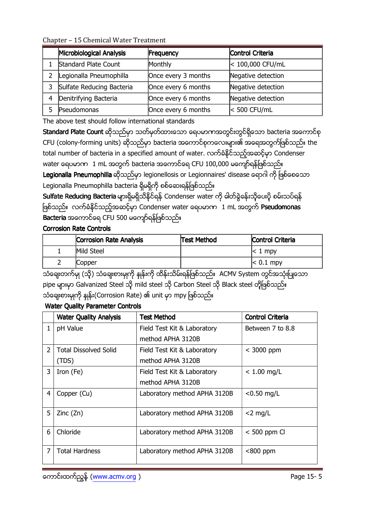Chapter - 15 Chemical Water Treatment

|   | Microbiological Analysis  | Frequency           | Control Criteria   |
|---|---------------------------|---------------------|--------------------|
|   | Standard Plate Count      | Monthly             | < 100,000 CFU/mL   |
|   | Legionalla Pneumophilla   | Once every 3 months | Negative detection |
| 3 | Sulfate Reducing Bacteria | Once every 6 months | Negative detection |
|   | Denitrifying Bacteria     | Once every 6 months | Negative detection |
|   | Pseudomonas               | Once every 6 months | $< 500$ CFU/mL     |

The above test should follow international standards

Standard Plate Count ဆိုသည်မှာ သတ်မှတ်ထားသော ရေပမာဏအတွင်းတွင်ရှိသော bacteria အကောင်စု CFU (colony-forming units) ဆိုသည်မှာ bacteria အကောင်စုကလေးများ၏ အရေအတွက်ဖြစ်သည်။ the total number of bacteria in a specified amount of water. လက်ခံနိုင်သည့်အဆင့်မှာ Condenser water ရေပမာဏ 1 mL အတွက် bacteria အကောင်ရေ CFU 100,000 မကျော်ရန်ဖြစ်သည်။ Legionalla Pneumophilla ဆိုသည်မှာ legionellosis or Legionnaires' disease ရောဂါ ကို ဖြစ်စေသော Legionalla Pneumophilla bacteria ရှိမရှိကို စစ်ဆေးရန်ဖြစ်သည်။

Sulfate Reducing Bacteria များရှိမရှိသိနိုင်ရန် Condenser water ကို ဓါတ်ခွဲခန်းသို့ပေးပို့ စမ်းသပ်ရန် ဖြစ်သည်။ လက်ခံနိုင်သည့်အဆင့်မှာ Condenser water ရေပမာဏ 1 mL အတွက် Pseudomonas Bacteria အကောင်ရေ CFU 500 မကျော်ရန်ဖြစ်သည်။

#### **Corrosion Rate Controls**

|   | Corrosion Rate Analysis | <b>Test Method</b> | Control Criteria |
|---|-------------------------|--------------------|------------------|
|   | Mild Steel              |                    | < 1 mpv          |
| ∠ | Copper                  |                    | $ < 0.1$ mpy     |

သံချေးတက်မှု (သို့) သံချေးစားမှုကို နှုန်းကို ထိန်းသိမ်းရန်ဖြစ်သည်။ ACMV System တွင်အသုံးပြုသော pipe များမှာ Galvanized Steel သို့ mild steel သို Carbon Steel သို Black steel တို့ဖြစ်သည်။ သံချေးစားမှုကို နှုန်း(Corrosion Rate) ၏ unit မှာ mpy ဖြစ်သည်။

| <b>Water Quality Parameter Controls</b> |  |  |
|-----------------------------------------|--|--|
|-----------------------------------------|--|--|

|   | <b>Water Quality Analysis</b> | <b>Test Method</b>           | <b>Control Criteria</b> |
|---|-------------------------------|------------------------------|-------------------------|
| 1 | pH Value                      | Field Test Kit & Laboratory  | Between 7 to 8.8        |
|   |                               | method APHA 3120B            |                         |
| 2 | <b>Total Dissolved Solid</b>  | Field Test Kit & Laboratory  | $<$ 3000 ppm            |
|   | (TDS)                         | method APHA 3120B            |                         |
| 3 | Iron (Fe)                     | Field Test Kit & Laboratory  | $< 1.00$ mg/L           |
|   |                               | method APHA 3120B            |                         |
| 4 | Copper (Cu)                   | Laboratory method APHA 3120B | $< 0.50$ mg/L           |
| 5 | Zinc(Zn)                      | Laboratory method APHA 3120B | $<$ 2 mg/L              |
| 6 | Chloride                      | Laboratory method APHA 3120B | $< 500$ ppm Cl          |
| 7 | <b>Total Hardness</b>         | Laboratory method APHA 3120B | $< 800$ ppm             |